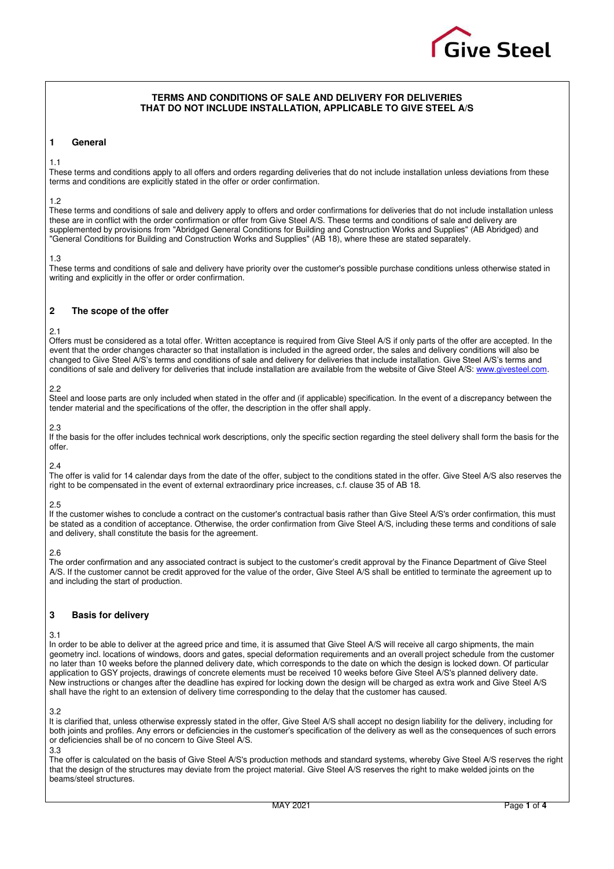

# **TERMS AND CONDITIONS OF SALE AND DELIVERY FOR DELIVERIES THAT DO NOT INCLUDE INSTALLATION, APPLICABLE TO GIVE STEEL A/S**

# **1 General**

#### 1.1

These terms and conditions apply to all offers and orders regarding deliveries that do not include installation unless deviations from these terms and conditions are explicitly stated in the offer or order confirmation.

#### 1.2

These terms and conditions of sale and delivery apply to offers and order confirmations for deliveries that do not include installation unless these are in conflict with the order confirmation or offer from Give Steel A/S. These terms and conditions of sale and delivery are supplemented by provisions from "Abridged General Conditions for Building and Construction Works and Supplies" (AB Abridged) and "General Conditions for Building and Construction Works and Supplies" (AB 18), where these are stated separately.

#### 1.3

These terms and conditions of sale and delivery have priority over the customer's possible purchase conditions unless otherwise stated in writing and explicitly in the offer or order confirmation.

# **2 The scope of the offer**

### 2.1

Offers must be considered as a total offer. Written acceptance is required from Give Steel A/S if only parts of the offer are accepted. In the event that the order changes character so that installation is included in the agreed order, the sales and delivery conditions will also be changed to Give Steel A/S's terms and conditions of sale and delivery for deliveries that include installation. Give Steel A/S's terms and conditions of sale and delivery for deliveries that include installation are available from the website of Give Steel A/S: [www.givesteel.com.](http://www.givesteel.com/) 

### 2.2

Steel and loose parts are only included when stated in the offer and (if applicable) specification. In the event of a discrepancy between the tender material and the specifications of the offer, the description in the offer shall apply.

### $2.3$

If the basis for the offer includes technical work descriptions, only the specific section regarding the steel delivery shall form the basis for the offer.

## 2.4

The offer is valid for 14 calendar days from the date of the offer, subject to the conditions stated in the offer. Give Steel A/S also reserves the right to be compensated in the event of external extraordinary price increases, c.f. clause 35 of AB 18.

## 2.5

If the customer wishes to conclude a contract on the customer's contractual basis rather than Give Steel A/S's order confirmation, this must be stated as a condition of acceptance. Otherwise, the order confirmation from Give Steel A/S, including these terms and conditions of sale and delivery, shall constitute the basis for the agreement.

# 2.6

The order confirmation and any associated contract is subject to the customer's credit approval by the Finance Department of Give Steel A/S. If the customer cannot be credit approved for the value of the order, Give Steel A/S shall be entitled to terminate the agreement up to and including the start of production.

# **3 Basis for delivery**

#### <span id="page-0-0"></span>3.1

In order to be able to deliver at the agreed price and time, it is assumed that Give Steel A/S will receive all cargo shipments, the main geometry incl. locations of windows, doors and gates, special deformation requirements and an overall project schedule from the customer no later than 10 weeks before the planned delivery date, which corresponds to the date on which the design is locked down. Of particular application to GSY projects, drawings of concrete elements must be received 10 weeks before Give Steel A/S's planned delivery date. New instructions or changes after the deadline has expired for locking down the design will be charged as extra work and Give Steel A/S shall have the right to an extension of delivery time corresponding to the delay that the customer has caused.

#### 3.2

It is clarified that, unless otherwise expressly stated in the offer, Give Steel A/S shall accept no design liability for the delivery, including for both joints and profiles. Any errors or deficiencies in the customer's specification of the delivery as well as the consequences of such errors or deficiencies shall be of no concern to Give Steel A/S.

3.3

The offer is calculated on the basis of Give Steel A/S's production methods and standard systems, whereby Give Steel A/S reserves the right that the design of the structures may deviate from the project material. Give Steel A/S reserves the right to make welded joints on the beams/steel structures.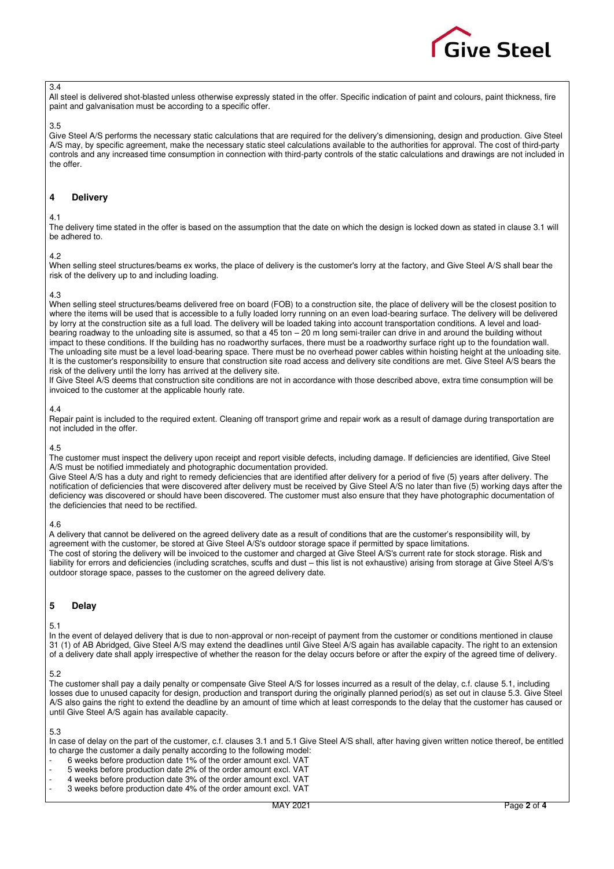

### 3.4

All steel is delivered shot-blasted unless otherwise expressly stated in the offer. Specific indication of paint and colours, paint thickness, fire paint and galvanisation must be according to a specific offer.

#### 3.5

Give Steel A/S performs the necessary static calculations that are required for the delivery's dimensioning, design and production. Give Steel A/S may, by specific agreement, make the necessary static steel calculations available to the authorities for approval. The cost of third-party controls and any increased time consumption in connection with third-party controls of the static calculations and drawings are not included in the offer.

### **4 Delivery**

#### 4.1

The delivery time stated in the offer is based on the assumption that the date on which the design is locked down as stated in claus[e 3.1 w](#page-0-0)ill be adhered to.

#### 4.2

When selling steel structures/beams ex works, the place of delivery is the customer's lorry at the factory, and Give Steel A/S shall bear the risk of the delivery up to and including loading.

### 4.3

When selling steel structures/beams delivered free on board (FOB) to a construction site, the place of delivery will be the closest position to where the items will be used that is accessible to a fully loaded lorry running on an even load-bearing surface. The delivery will be delivered by lorry at the construction site as a full load. The delivery will be loaded taking into account transportation conditions. A level and loadbearing roadway to the unloading site is assumed, so that a 45 ton – 20 m long semi-trailer can drive in and around the building without impact to these conditions. If the building has no roadworthy surfaces, there must be a roadworthy surface right up to the foundation wall. The unloading site must be a level load-bearing space. There must be no overhead power cables within hoisting height at the unloading site. It is the customer's responsibility to ensure that construction site road access and delivery site conditions are met. Give Steel A/S bears the risk of the delivery until the lorry has arrived at the delivery site.

If Give Steel A/S deems that construction site conditions are not in accordance with those described above, extra time consumption will be invoiced to the customer at the applicable hourly rate.

#### 4.4

Repair paint is included to the required extent. Cleaning off transport grime and repair work as a result of damage during transportation are not included in the offer.

#### 4.5

The customer must inspect the delivery upon receipt and report visible defects, including damage. If deficiencies are identified, Give Steel A/S must be notified immediately and photographic documentation provided.

Give Steel A/S has a duty and right to remedy deficiencies that are identified after delivery for a period of five (5) years after delivery. The notification of deficiencies that were discovered after delivery must be received by Give Steel A/S no later than five (5) working days after the deficiency was discovered or should have been discovered. The customer must also ensure that they have photographic documentation of the deficiencies that need to be rectified.

#### 4.6

A delivery that cannot be delivered on the agreed delivery date as a result of conditions that are the customer's responsibility will, by agreement with the customer, be stored at Give Steel A/S's outdoor storage space if permitted by space limitations. The cost of storing the delivery will be invoiced to the customer and charged at Give Steel A/S's current rate for stock storage. Risk and liability for errors and deficiencies (including scratches, scuffs and dust – this list is not exhaustive) arising from storage at Give Steel A/S's outdoor storage space, passes to the customer on the agreed delivery date.

## **5 Delay**

<span id="page-1-0"></span>5.1

In the event of delayed delivery that is due to non-approval or non-receipt of payment from the customer or conditions mentioned in clause 31 (1) of AB Abridged, Give Steel A/S may extend the deadlines until Give Steel A/S again has available capacity. The right to an extension of a delivery date shall apply irrespective of whether the reason for the delay occurs before or after the expiry of the agreed time of delivery.

#### 5.2

The customer shall pay a daily penalty or compensate Give Steel A/S for losses incurred as a result of the delay, c.f. clause [5.1,](#page-1-0) including losses due to unused capacity for design, production and transport during the originally planned period(s) as set out in claus[e 5.3.](#page-1-1) Give Steel A/S also gains the right to extend the deadline by an amount of time which at least corresponds to the delay that the customer has caused or until Give Steel A/S again has available capacity.

## <span id="page-1-1"></span>5.3

In case of delay on the part of the customer, c.f. clauses [3.1 a](#page-0-0)n[d 5.1 G](#page-1-0)ive Steel A/S shall, after having given written notice thereof, be entitled to charge the customer a daily penalty according to the following model:

- 6 weeks before production date 1% of the order amount excl. VAT
- 5 weeks before production date 2% of the order amount excl. VAT
- 4 weeks before production date 3% of the order amount excl. VAT
- 3 weeks before production date 4% of the order amount excl. VAT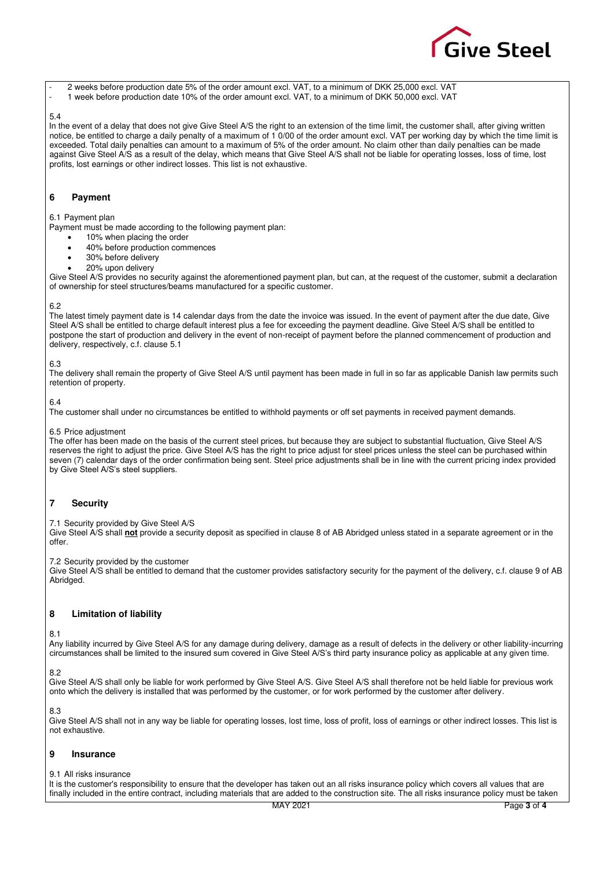- **Give Steel**
- 2 weeks before production date 5% of the order amount excl. VAT, to a minimum of DKK 25,000 excl. VAT
- 1 week before production date 10% of the order amount excl. VAT, to a minimum of DKK 50,000 excl. VAT

### 5.4

In the event of a delay that does not give Give Steel A/S the right to an extension of the time limit, the customer shall, after giving written notice, be entitled to charge a daily penalty of a maximum of 1 0/00 of the order amount excl. VAT per working day by which the time limit is exceeded. Total daily penalties can amount to a maximum of 5% of the order amount. No claim other than daily penalties can be made against Give Steel A/S as a result of the delay, which means that Give Steel A/S shall not be liable for operating losses, loss of time, lost profits, lost earnings or other indirect losses. This list is not exhaustive.

## **6 Payment**

### 6.1 Payment plan

Payment must be made according to the following payment plan:

- 10% when placing the order
- 40% before production commences
- 30% before delivery • 20% upon delivery
- Give Steel A/S provides no security against the aforementioned payment plan, but can, at the request of the customer, submit a declaration of ownership for steel structures/beams manufactured for a specific customer.

## 6.2

The latest timely payment date is 14 calendar days from the date the invoice was issued. In the event of payment after the due date, Give Steel A/S shall be entitled to charge default interest plus a fee for exceeding the payment deadline. Give Steel A/S shall be entitled to postpone the start of production and delivery in the event of non-receipt of payment before the planned commencement of production and delivery, respectively, c.f. clause [5.1](#page-1-0) 

## 6.3

The delivery shall remain the property of Give Steel A/S until payment has been made in full in so far as applicable Danish law permits such retention of property.

## 6.4

The customer shall under no circumstances be entitled to withhold payments or off set payments in received payment demands.

## 6.5 Price adjustment

The offer has been made on the basis of the current steel prices, but because they are subject to substantial fluctuation, Give Steel A/S reserves the right to adjust the price. Give Steel A/S has the right to price adjust for steel prices unless the steel can be purchased within seven (7) calendar days of the order confirmation being sent. Steel price adjustments shall be in line with the current pricing index provided by Give Steel A/S's steel suppliers.

# **7 Security**

7.1 Security provided by Give Steel A/S

Give Steel A/S shall **not** provide a security deposit as specified in clause 8 of AB Abridged unless stated in a separate agreement or in the offer.

7.2 Security provided by the customer

Give Steel A/S shall be entitled to demand that the customer provides satisfactory security for the payment of the delivery, c.f. clause 9 of AB Abridged.

# **8 Limitation of liability**

<span id="page-2-0"></span>8.1

Any liability incurred by Give Steel A/S for any damage during delivery, damage as a result of defects in the delivery or other liability-incurring circumstances shall be limited to the insured sum covered in Give Steel A/S's third party insurance policy as applicable at any given time.

## 8.2

Give Steel A/S shall only be liable for work performed by Give Steel A/S. Give Steel A/S shall therefore not be held liable for previous work onto which the delivery is installed that was performed by the customer, or for work performed by the customer after delivery.

8.3

Give Steel A/S shall not in any way be liable for operating losses, lost time, loss of profit, loss of earnings or other indirect losses. This list is not exhaustive.

# **9 Insurance**

#### 9.1 All risks insurance

It is the customer's responsibility to ensure that the developer has taken out an all risks insurance policy which covers all values that are finally included in the entire contract, including materials that are added to the construction site. The all risks insurance policy must be taken